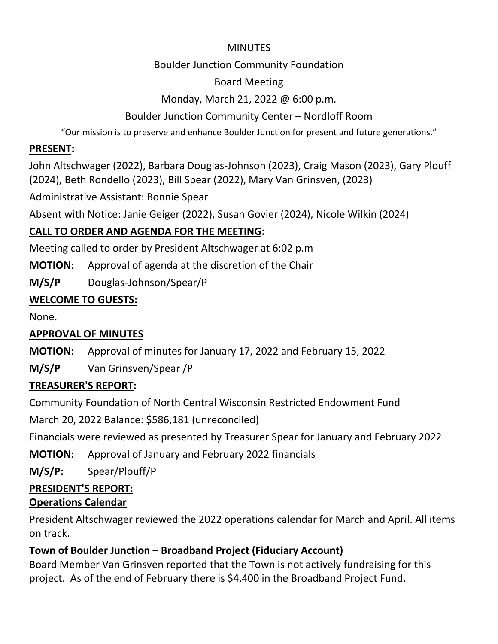## **MINUTES**

## Boulder Junction Community Foundation

# Board Meeting

# Monday, March 21, 2022 @ 6:00 p.m.

# Boulder Junction Community Center – Nordloff Room

"Our mission is to preserve and enhance Boulder Junction for present and future generations."

# **PRESENT:**

John Altschwager (2022), Barbara Douglas-Johnson (2023), Craig Mason (2023), Gary Plouff (2024), Beth Rondello (2023), Bill Spear (2022), Mary Van Grinsven, (2023)

Administrative Assistant: Bonnie Spear

Absent with Notice: Janie Geiger (2022), Susan Govier (2024), Nicole Wilkin (2024)

# **CALL TO ORDER AND AGENDA FOR THE MEETING:**

Meeting called to order by President Altschwager at 6:02 p.m

**MOTION**: Approval of agenda at the discretion of the Chair

**M/S/P** Douglas-Johnson/Spear/P

# **WELCOME TO GUESTS:**

None.

# **APPROVAL OF MINUTES**

**MOTION**: Approval of minutes for January 17, 2022 and February 15, 2022

**M/S/P** Van Grinsven/Spear /P

# **TREASURER'S REPORT:**

Community Foundation of North Central Wisconsin Restricted Endowment Fund

March 20, 2022 Balance: \$586,181 (unreconciled)

Financials were reviewed as presented by Treasurer Spear for January and February 2022

**MOTION:** Approval of January and February 2022 financials

**M/S/P:** Spear/Plouff/P

# **PRESIDENT'S REPORT:**

# **Operations Calendar**

President Altschwager reviewed the 2022 operations calendar for March and April. All items on track.

# **Town of Boulder Junction – Broadband Project (Fiduciary Account)**

Board Member Van Grinsven reported that the Town is not actively fundraising for this project. As of the end of February there is \$4,400 in the Broadband Project Fund.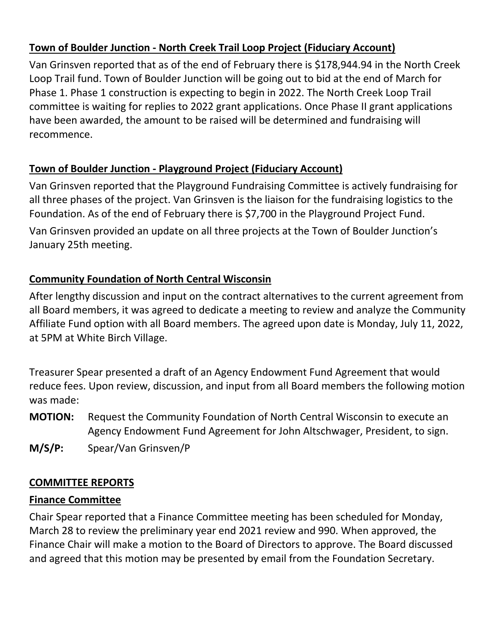## **Town of Boulder Junction - North Creek Trail Loop Project (Fiduciary Account)**

Van Grinsven reported that as of the end of February there is \$178,944.94 in the North Creek Loop Trail fund. Town of Boulder Junction will be going out to bid at the end of March for Phase 1. Phase 1 construction is expecting to begin in 2022. The North Creek Loop Trail committee is waiting for replies to 2022 grant applications. Once Phase II grant applications have been awarded, the amount to be raised will be determined and fundraising will recommence.

# **Town of Boulder Junction - Playground Project (Fiduciary Account)**

Van Grinsven reported that the Playground Fundraising Committee is actively fundraising for all three phases of the project. Van Grinsven is the liaison for the fundraising logistics to the Foundation. As of the end of February there is \$7,700 in the Playground Project Fund.

Van Grinsven provided an update on all three projects at the Town of Boulder Junction's January 25th meeting.

## **Community Foundation of North Central Wisconsin**

After lengthy discussion and input on the contract alternatives to the current agreement from all Board members, it was agreed to dedicate a meeting to review and analyze the Community Affiliate Fund option with all Board members. The agreed upon date is Monday, July 11, 2022, at 5PM at White Birch Village.

Treasurer Spear presented a draft of an Agency Endowment Fund Agreement that would reduce fees. Upon review, discussion, and input from all Board members the following motion was made:

**MOTION:** Request the Community Foundation of North Central Wisconsin to execute an Agency Endowment Fund Agreement for John Altschwager, President, to sign.

**M/S/P:** Spear/Van Grinsven/P

## **COMMITTEE REPORTS**

## **Finance Committee**

Chair Spear reported that a Finance Committee meeting has been scheduled for Monday, March 28 to review the preliminary year end 2021 review and 990. When approved, the Finance Chair will make a motion to the Board of Directors to approve. The Board discussed and agreed that this motion may be presented by email from the Foundation Secretary.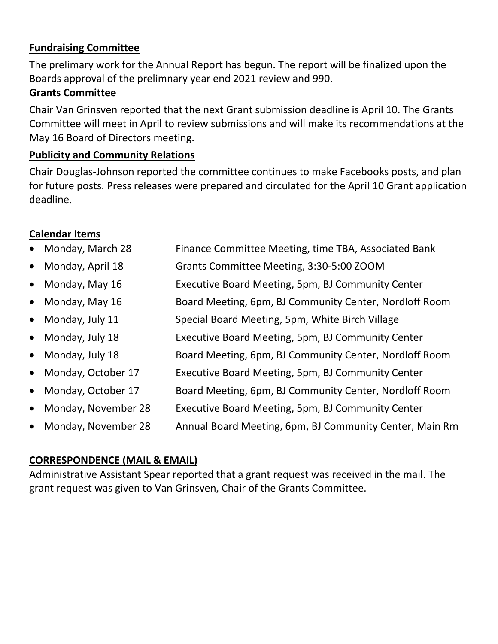#### **Fundraising Committee**

The prelimary work for the Annual Report has begun. The report will be finalized upon the Boards approval of the prelimnary year end 2021 review and 990.

#### **Grants Committee**

Chair Van Grinsven reported that the next Grant submission deadline is April 10. The Grants Committee will meet in April to review submissions and will make its recommendations at the May 16 Board of Directors meeting.

## **Publicity and Community Relations**

Chair Douglas-Johnson reported the committee continues to make Facebooks posts, and plan for future posts. Press releases were prepared and circulated for the April 10 Grant application deadline.

## **Calendar Items**

| • Monday, March 28   | Finance Committee Meeting, time TBA, Associated Bank |
|----------------------|------------------------------------------------------|
| • Monday, April $18$ | Grants Committee Meeting, 3:30-5:00 ZOOM             |

- Monday, May 16 **Executive Board Meeting, 5pm, BJ Community Center**
- Monday, May 16 Board Meeting, 6pm, BJ Community Center, Nordloff Room
- Monday, July 11 Special Board Meeting, 5pm, White Birch Village
- Monday, July 18 **Executive Board Meeting, 5pm, BJ Community Center**
- Monday, July 18 **Board Meeting, 6pm, BJ Community Center, Nordloff Room**
- Monday, October 17 Executive Board Meeting, 5pm, BJ Community Center
- Monday, October 17 Board Meeting, 6pm, BJ Community Center, Nordloff Room
- Monday, November 28 Executive Board Meeting, 5pm, BJ Community Center
- Monday, November 28 Annual Board Meeting, 6pm, BJ Community Center, Main Rm

# **CORRESPONDENCE (MAIL & EMAIL)**

Administrative Assistant Spear reported that a grant request was received in the mail. The grant request was given to Van Grinsven, Chair of the Grants Committee.